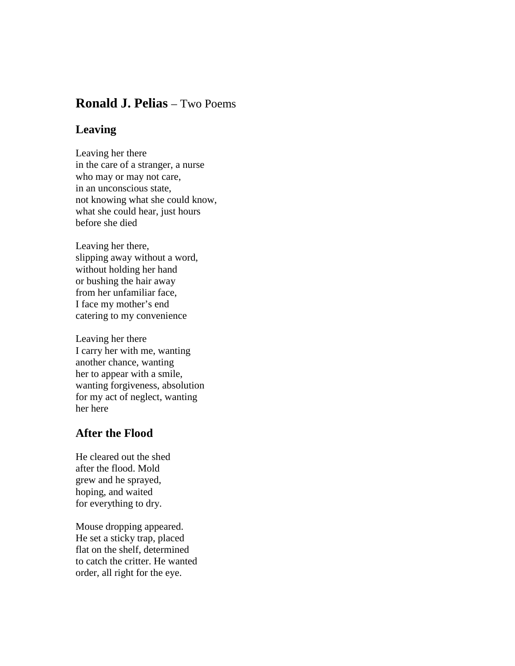## **Ronald J. Pelias** – Two Poems

## **Leaving**

Leaving her there in the care of a stranger, a nurse who may or may not care, in an unconscious state, not knowing what she could know, what she could hear, just hours before she died

Leaving her there, slipping away without a word, without holding her hand or bushing the hair away from her unfamiliar face, I face my mother's end catering to my convenience

Leaving her there I carry her with me, wanting another chance, wanting her to appear with a smile, wanting forgiveness, absolution for my act of neglect, wanting her here

## **After the Flood**

He cleared out the shed after the flood. Mold grew and he sprayed, hoping, and waited for everything to dry.

Mouse dropping appeared. He set a sticky trap, placed flat on the shelf, determined to catch the critter. He wanted order, all right for the eye.